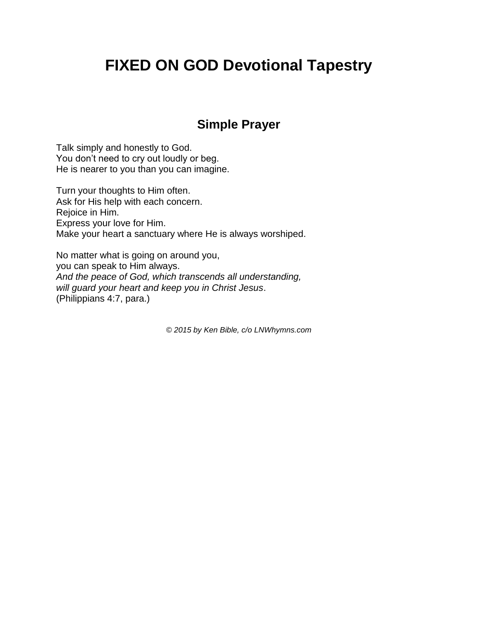## **FIXED ON GOD Devotional Tapestry**

## **Simple Prayer**

Talk simply and honestly to God. You don't need to cry out loudly or beg. He is nearer to you than you can imagine.

Turn your thoughts to Him often. Ask for His help with each concern. Rejoice in Him. Express your love for Him. Make your heart a sanctuary where He is always worshiped.

No matter what is going on around you, you can speak to Him always. *And the peace of God, which transcends all understanding, will guard your heart and keep you in Christ Jesus*. (Philippians 4:7, para.)

*© 2015 by Ken Bible, c/o LNWhymns.com*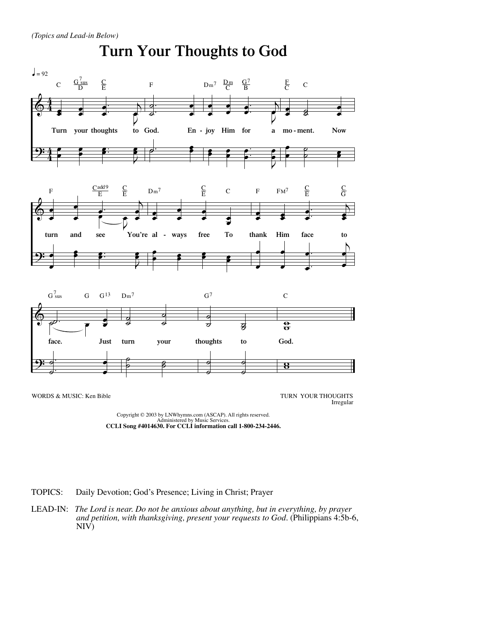

**CCLI Song #4014630. For CCLI information call 1-800-234-2446.**

TOPICS: Daily Devotion; God's Presence; Living in Christ; Prayer

LEAD-IN: *The Lord is near. Do not be anxious about anything, but in everything, by prayer and petition, with thanksgiving, present your requests to God.* (Philippians 4:5b-6, NIV)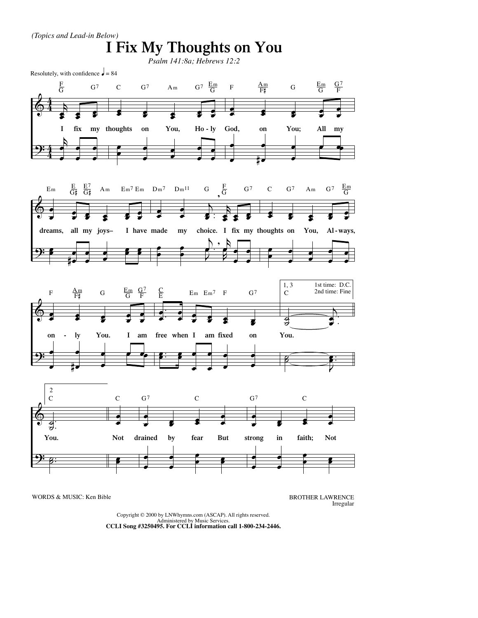

WORDS & MUSIC: Ken Bible BROTHER LAWRENCE

Irregular

Copyright © 2000 by LNWhymns.com (ASCAP). All rights reserved. Administered by Music Services. **CCLI Song #3250495. For CCLI information call 1-800-234-2446.**